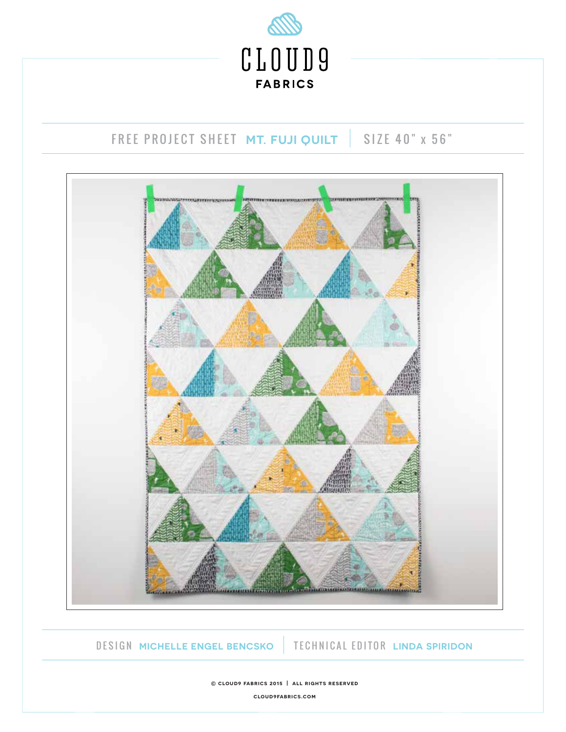

# FREE PROJECT SHEET MT. FUJI QUILT | SIZE 40" x 56"



DESIGN **MICHELLE ENGEL BENCSKO** TECHNICAL EDITOR **LINDA SPIRIDON**

**© cloud9 fabrics 2015 | all rights reserved cloud9fabrics.com**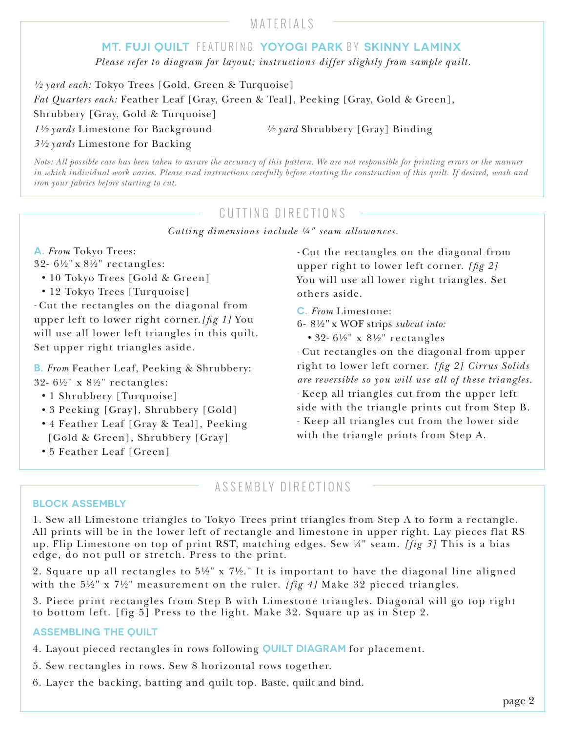### MATERIALS

### **MT. FUJI QUILT** FEATURING **YOYOGI PARK** BY **SKINNY LAMINX**

*Please refer to diagram for layout; instructions differ slightly from sample quilt.*

*½ yard each:* Tokyo Trees [Gold, Green & Turquoise] *Fat Quarters each:* Feather Leaf [Gray, Green & Teal], Peeking [Gray, Gold & Green], Shrubbery [Gray, Gold & Turquoise] *1½ yards* Limestone for Background *½ yard* Shrubbery [Gray] Binding *3½ yards* Limestone for Backing

*Note: All possible care has been taken to assure the accuracy of this pattern. We are not responsible for printing errors or the manner in which individual work varies. Please read instructions carefully before starting the construction of this quilt. If desired, wash and iron your fabrics before starting to cut.*

## CUTTING DIRECTIONS

*Cutting dimensions include ¼" seam allowances.*

#### **A.** *From* Tokyo Trees:

- 32- 6½" x 8½" rectangles:
	- *•* 10 Tokyo Trees [Gold & Green]
	- 12 Tokyo Trees [Turquoise]

*-* Cut the rectangles on the diagonal from upper left to lower right corner.*[g 1]* You will use all lower left triangles in this quilt. Set upper right triangles aside.

**B.** *From* Feather Leaf, Peeking & Shrubbery: 32- 6½" x 8½" rectangles:

- *•* 1 Shrubbery [Turquoise]
- *•* 3 Peeking [Gray], Shrubbery [Gold]
- *•* 4 Feather Leaf [Gray & Teal], Peeking [Gold & Green], Shrubbery [Gray]
- *•* 5 Feather Leaf [Green]

*-* Cut the rectangles on the diagonal from upper right to lower left corner. *[fig 2]* You will use all lower right triangles. Set others aside.

- **C.** *From* Limestone:
- 6- 8½" x WOF strips *subcut into:*
	- *•* 32- 6½" x 8½" rectangles

*-* Cut rectangles on the diagonal from upper right to lower left corner. *[g 2] Cirrus Solids are reversible so you will use all of these triangles. -* Keep all triangles cut from the upper left side with the triangle prints cut from Step B. - Keep all triangles cut from the lower side with the triangle prints from Step A.

### ASSEMBLY DIRECTIONS

#### **BLOCK ASSEMBLY**

1. Sew all Limestone triangles to Tokyo Trees print triangles from Step A to form a rectangle. All prints will be in the lower left of rectangle and limestone in upper right. Lay pieces flat RS up. Flip Limestone on top of print RST, matching edges. Sew ¼" seam. *[fig 3]* This is a bias edge, do not pull or stretch. Press to the print.

2. Square up all rectangles to  $5\frac{1}{2}$ " x  $7\frac{1}{2}$ ." It is important to have the diagonal line aligned with the 5½" x 7½" measurement on the ruler. *[fig 4]* Make 32 pieced triangles.

3. Piece print rectangles from Step B with Limestone triangles. Diagonal will go top right to bottom left. [fig 5] Press to the light. Make 32. Square up as in Step 2.

#### **ASSEMBLING THE QUILT**

- 4. Layout pieced rectangles in rows following **QUILT DIAGRAM** for placement.
- 5. Sew rectangles in rows. Sew 8 horizontal rows together.
- 6. Layer the backing, batting and quilt top. Baste, quilt and bind.